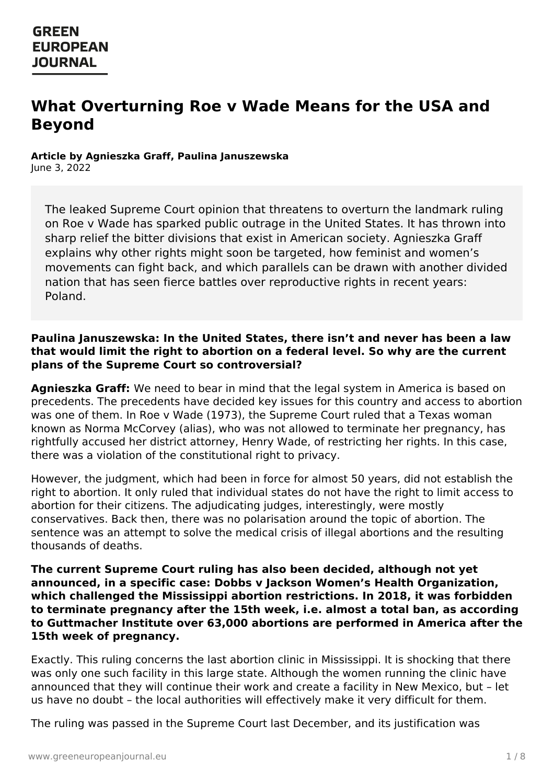# **What Overturning Roe v Wade Means for the USA and Beyond**

#### **Article by Agnieszka Graff, Paulina Januszewska** June 3, 2022

The leaked Supreme Court opinion that threatens to overturn the landmark ruling on Roe v Wade has sparked public outrage in the United States. It has thrown into sharp relief the bitter divisions that exist in American society. Agnieszka Graff explains why other rights might soon be targeted, how feminist and women's movements can fight back, and which parallels can be drawn with another divided nation that has seen fierce battles over reproductive rights in recent years: Poland.

#### **Paulina Januszewska: In the United States, there isn't and never has been a law that would limit the right to abortion on a federal level. So why are the current plans of the Supreme Court so controversial?**

**Agnieszka Graff:** We need to bear in mind that the legal system in America is based on precedents. The precedents have decided key issues for this country and access to abortion was one of them. In Roe v Wade (1973), the Supreme Court ruled that a Texas woman known as Norma McCorvey (alias), who was not allowed to terminate her pregnancy, has rightfully accused her district attorney, Henry Wade, of restricting her rights. In this case, there was a violation of the constitutional right to privacy.

However, the judgment, which had been in force for almost 50 years, did not establish the right to abortion. It only ruled that individual states do not have the right to limit access to abortion for their citizens. The adjudicating judges, interestingly, were mostly conservatives. Back then, there was no polarisation around the topic of abortion. The sentence was an attempt to solve the medical crisis of illegal abortions and the resulting thousands of deaths.

**The current Supreme Court ruling has also been decided, although not yet announced, in a specific case: Dobbs v Jackson Women's Health Organization, which challenged the Mississippi abortion restrictions. In 2018, it was forbidden to terminate pregnancy after the 15th week, i.e. almost a total ban, as according to Guttmacher Institute over 63,000 abortions are performed in America after the 15th week of pregnancy.**

[Exactly.](https://www.greeneuropeanjournal.eu) This ruling concerns the last abortion clinic in Mississippi. It is shocking that there was only one such facility in this large state. Although the women running the clinic have announced that they will continue their work and create a facility in New Mexico, but – let us have no doubt – the local authorities will effectively make it very difficult for them.

The ruling was passed in the Supreme Court last December, and its justification was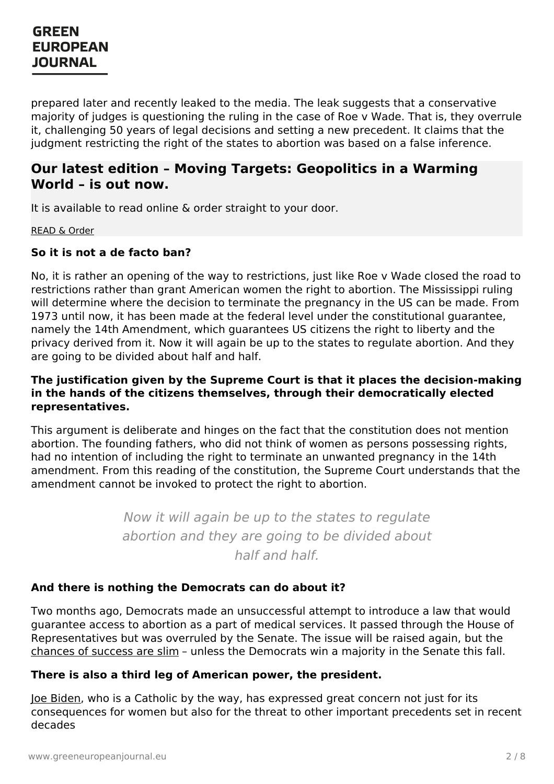prepared later and recently leaked to the media. The leak suggests that a conservative majority of judges is questioning the ruling in the case of Roe v Wade. That is, they overrule it, challenging 50 years of legal decisions and setting a new precedent. It claims that the judgment restricting the right of the states to abortion was based on a false inference.

### **Our latest edition – Moving Targets: Geopolitics in a Warming World – is out now.**

It is available to read online & order straight to your door.

[READ](https://www.greeneuropeanjournal.eu/edition/moving-targets/) & Order

#### **So it is not a de facto ban?**

No, it is rather an opening of the way to restrictions, just like Roe v Wade closed the road to restrictions rather than grant American women the right to abortion. The Mississippi ruling will determine where the decision to terminate the pregnancy in the US can be made. From 1973 until now, it has been made at the federal level under the constitutional guarantee, namely the 14th Amendment, which guarantees US citizens the right to liberty and the privacy derived from it. Now it will again be up to the states to regulate abortion. And they are going to be divided about half and half.

#### **The justification given by the Supreme Court is that it places the decision-making in the hands of the citizens themselves, through their democratically elected representatives.**

This argument is deliberate and hinges on the fact that the constitution does not mention abortion. The founding fathers, who did not think of women as persons possessing rights, had no intention of including the right to terminate an unwanted pregnancy in the 14th amendment. From this reading of the constitution, the Supreme Court understands that the amendment cannot be invoked to protect the right to abortion.

> Now it will again be up to the states to regulate abortion and they are going to be divided about half and half.

#### **And there is nothing the Democrats can do about it?**

Two months ago, Democrats made an unsuccessful attempt to introduce a law that would guarantee access to abortion as a part of medical services. It passed through the House of Representatives but was overruled by the Senate. The issue will be raised again, but the [chances](https://www.greeneuropeanjournal.eu/bidens-climate-promises-face-us-political-deadlock/) of success are slim – unless the Democrats win a majority in the Senate this fall.

#### **There is also a third leg of American power, the president.**

Joe [Biden](https://www.greeneuropeanjournal.eu/bidens-victory-is-a-glimmer-of-hope/), who is a Catholic by the way, has expressed great concern not just for its consequences for women but also for the threat to other important precedents set in recent decades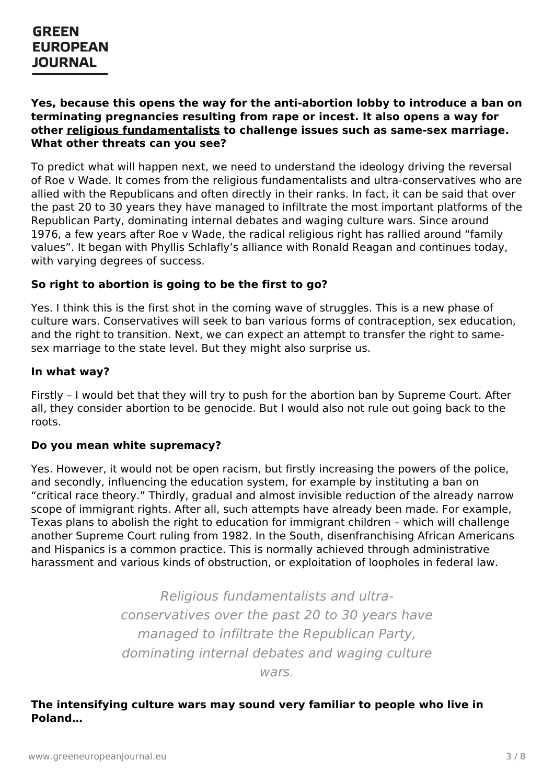#### **Yes, because this opens the way for the anti-abortion lobby to introduce a ban on terminating pregnancies resulting from rape or incest. It also opens a way for other religious [fundamentalists](https://www.greeneuropeanjournal.eu/abortion-debate-in-malta-between-progress-catholic-morality-and-patriarchy/) to challenge issues such as same-sex marriage. What other threats can you see?**

To predict what will happen next, we need to understand the ideology driving the reversal of Roe v Wade. It comes from the religious fundamentalists and ultra-conservatives who are allied with the Republicans and often directly in their ranks. In fact, it can be said that over the past 20 to 30 years they have managed to infiltrate the most important platforms of the Republican Party, dominating internal debates and waging culture wars. Since around 1976, a few years after Roe v Wade, the radical religious right has rallied around "family values". It began with Phyllis Schlafly's alliance with Ronald Reagan and continues today, with varying degrees of success.

### **So right to abortion is going to be the first to go?**

Yes. I think this is the first shot in the coming wave of struggles. This is a new phase of culture wars. Conservatives will seek to ban various forms of contraception, sex education, and the right to transition. Next, we can expect an attempt to transfer the right to samesex marriage to the state level. But they might also surprise us.

#### **In what way?**

Firstly – I would bet that they will try to push for the abortion ban by Supreme Court. After all, they consider abortion to be genocide. But I would also not rule out going back to the roots.

#### **Do you mean white supremacy?**

Yes. However, it would not be open racism, but firstly increasing the powers of the police, and secondly, influencing the education system, for example by instituting a ban on "critical race theory." Thirdly, gradual and almost invisible reduction of the already narrow scope of immigrant rights. After all, such attempts have already been made. For example, Texas plans to abolish the right to education for immigrant children – which will challenge another Supreme Court ruling from 1982. In the South, disenfranchising African Americans and Hispanics is a common practice. This is normally achieved through administrative harassment and various kinds of obstruction, or exploitation of loopholes in federal law.

> Religious fundamentalists and ultraconservatives over the past 20 to 30 years have managed to infiltrate the Republican Party, [domina](https://www.greeneuropeanjournal.eu)ting internal debates and waging culture wars.

#### **The intensifying culture wars may sound very familiar to people who live in Poland…**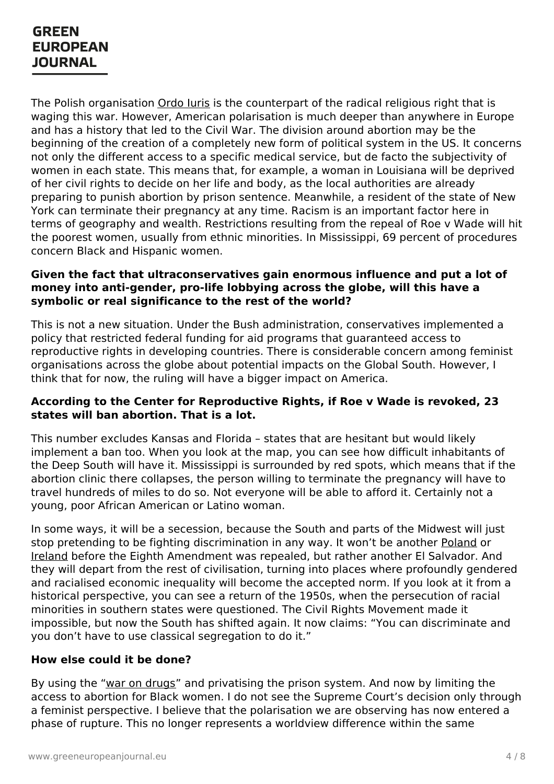The Polish organisation [Ordo](https://www.opendemocracy.net/en/5050/four-reasons-why-polands-war-on-abortion-should-scare-you/) Iuris is the counterpart of the radical religious right that is waging this war. However, American polarisation is much deeper than anywhere in Europe and has a history that led to the Civil War. The division around abortion may be the beginning of the creation of a completely new form of political system in the US. It concerns not only the different access to a specific medical service, but de facto the subjectivity of women in each state. This means that, for example, a woman in Louisiana will be deprived of her civil rights to decide on her life and body, as the local authorities are already preparing to punish abortion by prison sentence. Meanwhile, a resident of the state of New York can terminate their pregnancy at any time. Racism is an important factor here in terms of geography and wealth. Restrictions resulting from the repeal of Roe v Wade will hit the poorest women, usually from ethnic minorities. In Mississippi, 69 percent of procedures concern Black and Hispanic women.

#### **Given the fact that ultraconservatives gain enormous influence and put a lot of money into anti-gender, pro-life lobbying across the globe, will this have a symbolic or real significance to the rest of the world?**

This is not a new situation. Under the Bush administration, conservatives implemented a policy that restricted federal funding for aid programs that guaranteed access to reproductive rights in developing countries. There is considerable concern among feminist organisations across the globe about potential impacts on the Global South. However, I think that for now, the ruling will have a bigger impact on America.

#### **According to the Center for Reproductive Rights, if Roe v Wade is revoked, 23 states will ban abortion. That is a lot.**

This number excludes Kansas and Florida – states that are hesitant but would likely implement a ban too. When you look at the map, you can see how difficult inhabitants of the Deep South will have it. Mississippi is surrounded by red spots, which means that if the abortion clinic there collapses, the person willing to terminate the pregnancy will have to travel hundreds of miles to do so. Not everyone will be able to afford it. Certainly not a young, poor African American or Latino woman.

In some ways, it will be a secession, because the South and parts of the Midwest will just stop pretending to be fighting discrimination in any way. It won't be another [Poland](https://www.greeneuropeanjournal.eu/we-no-longer-ask-to-be-treated-as-humans-we-demand-it/) or [Ireland](https://www.greeneuropeanjournal.eu/the-road-to-repeal-how-ireland-said-yes/) before the Eighth Amendment was repealed, but rather another El Salvador. And they will depart from the rest of civilisation, turning into places where profoundly gendered and racialised economic inequality will become the accepted norm. If you look at it from a historical perspective, you can see a return of the 1950s, when the persecution of racial minorities in southern states were questioned. The Civil Rights Movement made it impossible, but now the South has shifted again. It now claims: "You can discriminate and you don't have to use classical segregation to do it."

#### **How else [could](https://www.greeneuropeanjournal.eu) it be done?**

By using the "war on [drugs](https://www.greeneuropeanjournal.eu/green-observatory-drug-policy/)" and privatising the prison system. And now by limiting the access to abortion for Black women. I do not see the Supreme Court's decision only through a feminist perspective. I believe that the polarisation we are observing has now entered a phase of rupture. This no longer represents a worldview difference within the same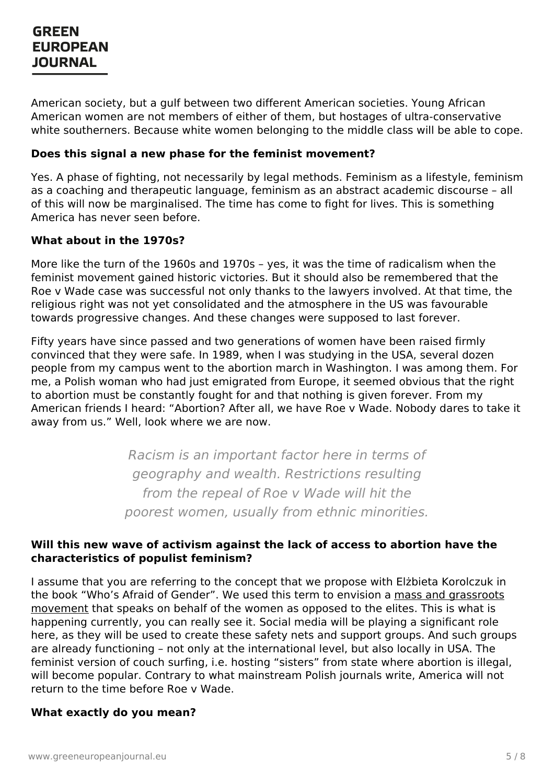American society, but a gulf between two different American societies. Young African American women are not members of either of them, but hostages of ultra-conservative white southerners. Because white women belonging to the middle class will be able to cope.

#### **Does this signal a new phase for the feminist movement?**

Yes. A phase of fighting, not necessarily by legal methods. Feminism as a lifestyle, feminism as a coaching and therapeutic language, feminism as an abstract academic discourse – all of this will now be marginalised. The time has come to fight for lives. This is something America has never seen before.

#### **What about in the 1970s?**

More like the turn of the 1960s and 1970s – yes, it was the time of radicalism when the feminist movement gained historic victories. But it should also be remembered that the Roe v Wade case was successful not only thanks to the lawyers involved. At that time, the religious right was not yet consolidated and the atmosphere in the US was favourable towards progressive changes. And these changes were supposed to last forever.

Fifty years have since passed and two generations of women have been raised firmly convinced that they were safe. In 1989, when I was studying in the USA, several dozen people from my campus went to the abortion march in Washington. I was among them. For me, a Polish woman who had just emigrated from Europe, it seemed obvious that the right to abortion must be constantly fought for and that nothing is given forever. From my American friends I heard: "Abortion? After all, we have Roe v Wade. Nobody dares to take it away from us." Well, look where we are now.

> Racism is an important factor here in terms of geography and wealth. Restrictions resulting from the repeal of Roe v Wade will hit the poorest women, usually from ethnic minorities.

#### **Will this new wave of activism against the lack of access to abortion have the characteristics of populist feminism?**

I assume that you are referring to the concept that we propose with Elżbieta Korolczuk in the book "Who's Afraid of Gender". We used this term to envision a mass and grassroots [movement](https://www.greeneuropeanjournal.eu/gender-justice-beyond-binaries-and-buzzwords/) that speaks on behalf of the women as opposed to the elites. This is what is happening currently, you can really see it. Social media will be playing a significant role here, as they will be used to create these safety nets and support groups. And such groups are already functioning – not only at the international level, but also locally in USA. The [feminist](https://www.greeneuropeanjournal.eu) version of couch surfing, i.e. hosting "sisters" from state where abortion is illegal, will become popular. Contrary to what mainstream Polish journals write, America will not return to the time before Roe v Wade.

#### **What exactly do you mean?**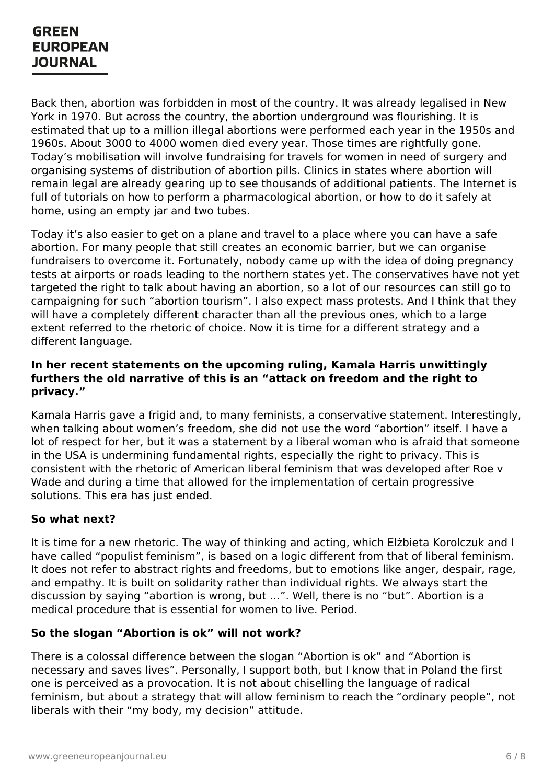Back then, abortion was forbidden in most of the country. It was already legalised in New York in 1970. But across the country, the abortion underground was flourishing. It is estimated that up to a million illegal abortions were performed each year in the 1950s and 1960s. About 3000 to 4000 women died every year. Those times are rightfully gone. Today's mobilisation will involve fundraising for travels for women in need of surgery and organising systems of distribution of abortion pills. Clinics in states where abortion will remain legal are already gearing up to see thousands of additional patients. The Internet is full of tutorials on how to perform a pharmacological abortion, or how to do it safely at home, using an empty jar and two tubes.

Today it's also easier to get on a plane and travel to a place where you can have a safe abortion. For many people that still creates an economic barrier, but we can organise fundraisers to overcome it. Fortunately, nobody came up with the idea of doing pregnancy tests at airports or roads leading to the northern states yet. The conservatives have not yet targeted the right to talk about having an abortion, so a lot of our resources can still go to campaigning for such ["abortion](https://www.pbs.org/newshour/health/what-irelands-history-with-abortion-might-teach-us-about-a-post-roe-america) tourism". I also expect mass protests. And I think that they will have a completely different character than all the previous ones, which to a large extent referred to the rhetoric of choice. Now it is time for a different strategy and a different language.

#### **In her recent statements on the upcoming ruling, Kamala Harris unwittingly furthers the old narrative of this is an "attack on freedom and the right to privacy."**

Kamala Harris gave a frigid and, to many feminists, a conservative statement. Interestingly, when talking about women's freedom, she did not use the word "abortion" itself. I have a lot of respect for her, but it was a statement by a liberal woman who is afraid that someone in the USA is undermining fundamental rights, especially the right to privacy. This is consistent with the rhetoric of American liberal feminism that was developed after Roe v Wade and during a time that allowed for the implementation of certain progressive solutions. This era has just ended.

#### **So what next?**

It is time for a new rhetoric. The way of thinking and acting, which Elżbieta Korolczuk and I have called "populist feminism", is based on a logic different from that of liberal feminism. It does not refer to abstract rights and freedoms, but to emotions like anger, despair, rage, and empathy. It is built on solidarity rather than individual rights. We always start the discussion by saying "abortion is wrong, but …". Well, there is no "but". Abortion is a medical procedure that is essential for women to live. Period.

#### **So the slogan "Abortion is ok" will not work?**

There is a [colossal](https://www.greeneuropeanjournal.eu) difference between the slogan "Abortion is ok" and "Abortion is necessary and saves lives". Personally, I support both, but I know that in Poland the first one is perceived as a provocation. It is not about chiselling the language of radical feminism, but about a strategy that will allow feminism to reach the "ordinary people", not liberals with their "my body, my decision" attitude.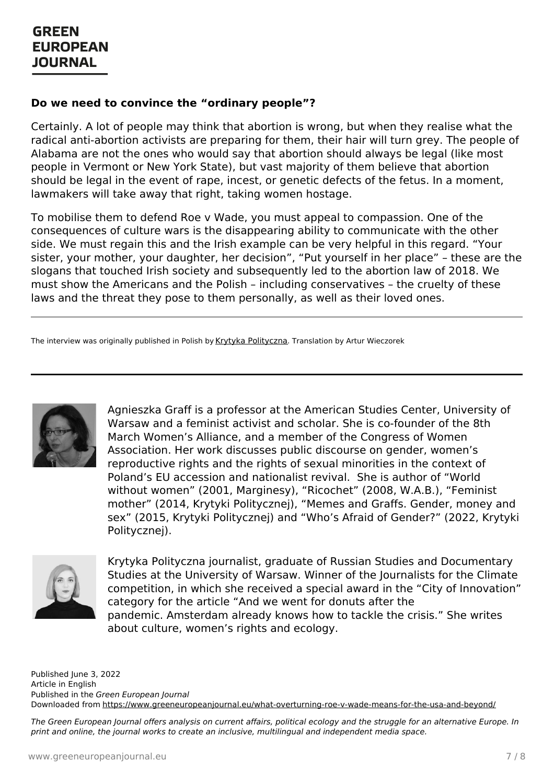#### **Do we need to convince the "ordinary people"?**

Certainly. A lot of people may think that abortion is wrong, but when they realise what the radical anti-abortion activists are preparing for them, their hair will turn grey. The people of Alabama are not the ones who would say that abortion should always be legal (like most people in Vermont or New York State), but vast majority of them believe that abortion should be legal in the event of rape, incest, or genetic defects of the fetus. In a moment, lawmakers will take away that right, taking women hostage.

To mobilise them to defend Roe v Wade, you must appeal to compassion. One of the consequences of culture wars is the disappearing ability to communicate with the other side. We must regain this and the Irish example can be very helpful in this regard. "Your sister, your mother, your daughter, her decision", "Put yourself in her place" – these are the slogans that touched Irish society and subsequently led to the abortion law of 2018. We must show the Americans and the Polish – including conservatives – the cruelty of these laws and the threat they pose to them personally, as well as their loved ones.

The interview was originally published in Polish by Krytyka [Polityczna](https://krytykapolityczna.pl/swiat/graff-roe-vs-wade-aborcja-usa/). Translation by Artur Wieczorek



Agnieszka Graff is a professor at the American Studies Center, University of Warsaw and a feminist activist and scholar. She is co-founder of the 8th March Women's Alliance, and a member of the Congress of Women Association. Her work discusses public discourse on gender, women's reproductive rights and the rights of sexual minorities in the context of Poland's EU accession and nationalist revival. She is author of "World without women" (2001, Marginesy), "Ricochet" (2008, W.A.B.), "Feminist mother" (2014, Krytyki Politycznej), "Memes and Graffs. Gender, money and sex" (2015, Krytyki Politycznej) and "Who's Afraid of Gender?" (2022, Krytyki Politycznej).



Krytyka Polityczna journalist, graduate of Russian Studies and Documentary Studies at the University of Warsaw. Winner of the Journalists for the Climate competition, in which she received a special award in the "City of Innovation" category for the article "And we went for donuts after the

pandemic. Amsterdam already knows how to tackle the crisis." She writes about culture, women's rights and ecology.

Published June 3, 2022 Article in English Published in the Green European Journal Downloaded from <https://www.greeneuropeanjournal.eu/what-overturning-roe-v-wade-means-for-the-usa-and-beyond/>

The Green European Journal offers analysis on current affairs, political ecology and the struggle for an alternative Europe. In print and online, the journal works to create an inclusive, multilingual and independent media space.